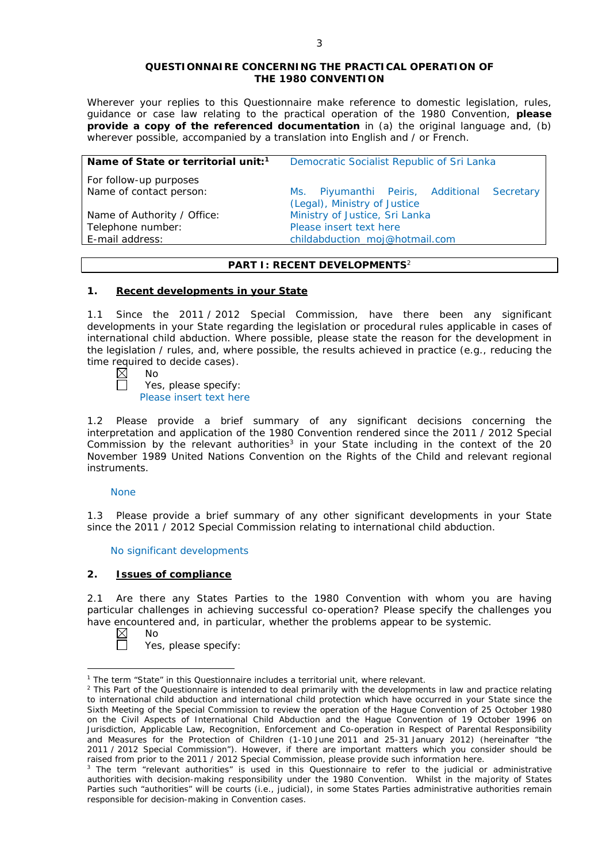#### **QUESTIONNAIRE CONCERNING THE PRACTICAL OPERATION OF THE 1980 CONVENTION**

*Wherever your replies to this Questionnaire make reference to domestic legislation, rules, guidance or case law relating to the practical operation of the 1980 Convention, please provide a copy of the referenced documentation in (a) the original language and, (b) wherever possible, accompanied by a translation into English and / or French.* 

| Name of State or territorial unit: <sup>1</sup> | Democratic Socialist Republic of Sri Lanka                                  |
|-------------------------------------------------|-----------------------------------------------------------------------------|
| For follow-up purposes                          |                                                                             |
| Name of contact person:                         | Ms. Piyumanthi Peiris, Additional Secretary<br>(Legal), Ministry of Justice |
| Name of Authority / Office:                     | Ministry of Justice, Sri Lanka                                              |
| Telephone number:                               | Please insert text here                                                     |
| E-mail address:                                 | childabduction_moj@hotmail.com                                              |

# **PART I: RECENT DEVELOPMENTS**<sup>2</sup>

# **1. Recent developments in your State**

1.1 Since the 2011 / 2012 Special Commission, have there been any significant developments in your State regarding the legislation or procedural rules applicable in cases of international child abduction. Where possible, please state the reason for the development in the legislation / rules, and, where possible, the results achieved in practice (*e.g.*, reducing the time required to decide cases).<br> $\boxtimes$  No

No

 $\Box$ 

Yes, please specify: Please insert text here

1.2 Please provide a brief summary of any significant decisions concerning the interpretation and application of the 1980 Convention rendered since the 2011 / 2012 Special Commission by the relevant authorities<sup>3</sup> in your State including in the context of the 20 November 1989 United Nations Convention on the Rights of the Child and relevant regional instruments.

# None

1.3 Please provide a brief summary of any other significant developments in your State since the 2011 / 2012 Special Commission relating to international child abduction.

No significant developments

# **2. Issues of compliance**

2.1 Are there any States Parties to the 1980 Convention with whom you are having particular challenges in achieving successful co-operation? Please specify the challenges you have encountered and, in particular, whether the problems appear to be systemic.<br>  $\boxtimes$  No

No

<u>.</u>

 $\Box$ Yes, please specify:

<sup>&</sup>lt;sup>1</sup> The term "State" in this Questionnaire includes a territorial unit, where relevant.

 $<sup>2</sup>$  This Part of the Questionnaire is intended to deal primarily with the developments in law and practice relating</sup> to international child abduction and international child protection which have occurred in your State since the Sixth Meeting of the Special Commission to review the operation of the *Hague Convention of 25 October 1980 on the Civil Aspects of International Child Abduction* and the *Hague Convention of 19 October 1996 on Jurisdiction, Applicable Law, Recognition, Enforcement and Co-operation in Respect of Parental Responsibility and Measures for the Protection of Children* (1-10 June 2011 and 25-31 January 2012) (hereinafter "the 2011 / 2012 Special Commission"). However, if there are important matters which you consider should be raised from *prior to* the 2011 / 2012 Special Commission, please provide such information here.

<sup>&</sup>lt;sup>3</sup> The term "relevant authorities" is used in this Questionnaire to refer to the judicial or administrative authorities with decision-making responsibility under the 1980 Convention. Whilst in the majority of States Parties such "authorities" will be courts (*i.e.*, judicial), in some States Parties administrative authorities remain responsible for decision-making in Convention cases.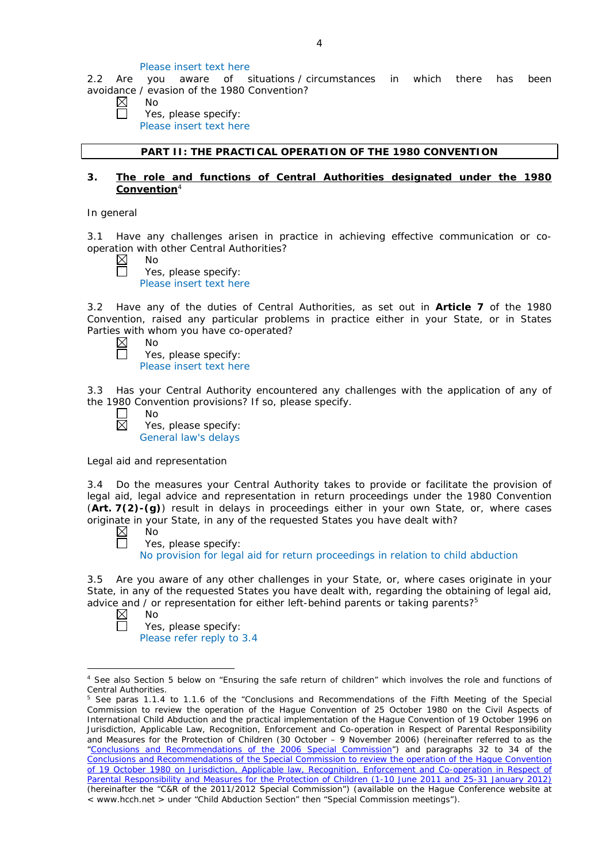#### Please insert text here

2.2 Are you aware of situations / circumstances in which there has been avoidance / evasion of the 1980 Convention?

| ١ |
|---|
|   |

 $\perp$ 

Yes, please specify: Please insert text here

## **PART II: THE PRACTICAL OPERATION OF THE 1980 CONVENTION**

## **3. The role and functions of Central Authorities designated under the 1980 Convention**<sup>4</sup>

*In general*

3.1 Have any challenges arisen in practice in achieving effective communication or cooperation with other Central Authorities?

| $\sim$ | N٢ |
|--------|----|
|        |    |

 $\Box$ 

Yes, please specify: Please insert text here

3.2 Have any of the duties of Central Authorities, as set out in **Article 7** of the 1980 Convention, raised any particular problems in practice either in your State, or in States Parties with whom you have co-operated?

- $\boxtimes$ No  $\Box$ Yes, please specify:
	- Please insert text here

3.3 Has your Central Authority encountered any challenges with the application of any of the 1980 Convention provisions? If so, please specify.

No  $\boxtimes$ 

Yes, please specify: General law's delays

*Legal aid and representation*

3.4 Do the measures your Central Authority takes to provide or facilitate the provision of legal aid, legal advice and representation in return proceedings under the 1980 Convention (**Art. 7(2)-(g)**) result in delays in proceedings either in your own State, or, where cases originate in your State, in any of the requested States you have dealt with?<br>  $\boxtimes$  No

No  $\Box$ 

Yes, please specify:

No provision for legal aid for return proceedings in relation to child abduction

3.5 Are you aware of any other challenges in your State, or, where cases originate in your State, in any of the requested States you have dealt with, regarding the obtaining of legal aid, advice and / or representation for either left-behind parents or taking parents?<sup>5</sup>

 $\boxtimes$ No

 $\Box$ 

<u>.</u>

Yes, please specify: Please refer reply to 3.4

<sup>4</sup> See also Section 5 below on "Ensuring the safe return of children" which involves the role and functions of Central Authorities.

<sup>&</sup>lt;sup>5</sup> See paras 1.1.4 to 1.1.6 of the "Conclusions and Recommendations of the Fifth Meeting of the Special Commission to review the operation of the *Hague Convention of 25 October 1980 on the Civil Aspects of International Child Abduction* and the practical implementation of the *Hague Convention of 19 October 1996 on Jurisdiction, Applicable Law, Recognition, Enforcement and Co-operation in Respect of Parental Responsibility and Measures for the Protection of Children* (30 October – 9 November 2006) (hereinafter referred to as the ["Conclusions and Recommendations of the 2006 Special Commission"](https://assets.hcch.net/upload/concl28sc5_e.pdf)) and paragraphs 32 to 34 of the [Conclusions and Recommendations of the Special Commission](https://assets.hcch.net/upload/wop/concl28sc6_e.pdf) to review the operation of the Hague Convention of *[19 October 1980 on Jurisdiction, Applicable law, Recognition, Enforcement and Co-operation in Respect of](https://assets.hcch.net/upload/wop/concl28sc6_e.pdf)  [Parental Responsibility and Measures for the Protection of Children](https://assets.hcch.net/upload/wop/concl28sc6_e.pdf)* (1-10 June 2011 and 25-31 January 2012) (hereinafter the "C&R of the 2011/2012 Special Commission") (available on the Hague Conference website at < www.hcch.net > under "Child Abduction Section" then "Special Commission meetings").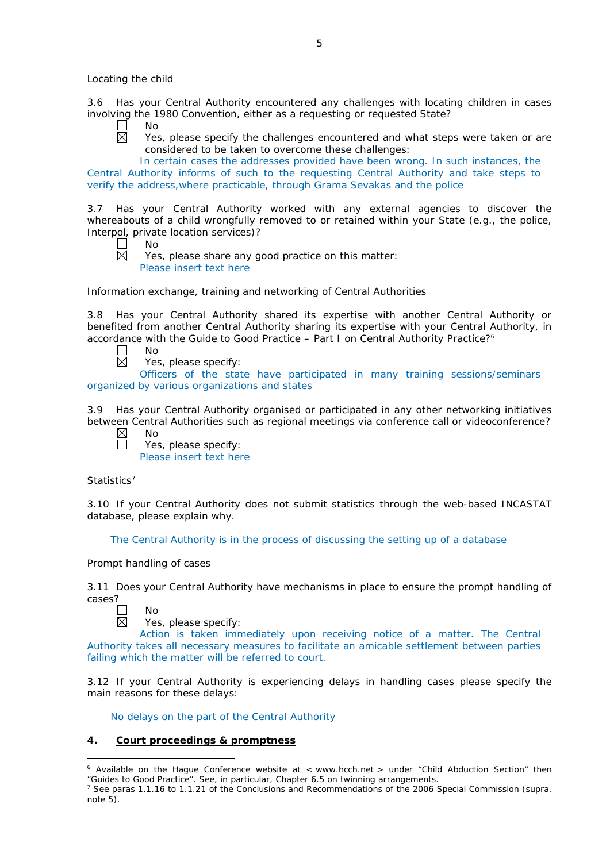*Locating the child*

3.6 Has your Central Authority encountered any challenges with locating children in cases involving the 1980 Convention, either as a requesting or requested State?

- $\Box$ No  $\overline{\boxtimes}$ 
	- Yes, please specify the challenges encountered and what steps were taken or are considered to be taken to overcome these challenges:

In certain cases the addresses provided have been wrong. In such instances, the Central Authority informs of such to the requesting Central Authority and take steps to verify the address,where practicable, through Grama Sevakas and the police

3.7 Has your Central Authority worked with any external agencies to discover the whereabouts of a child wrongfully removed to or retained within your State (*e.g.*, the police, Interpol, private location services)?

 $\mathbf{L}$ No

反 Yes, please share any good practice on this matter: Please insert text here

*Information exchange, training and networking of Central Authorities*

3.8 Has your Central Authority shared its expertise with another Central Authority or benefited from another Central Authority sharing its expertise with your Central Authority, in accordance with the Guide to Good Practice  $-$  Part I on Central Authority Practice?<sup>6</sup>

 $\perp$ No 岗

Yes, please specify:

Officers of the state have participated in many training sessions/seminars organized by various organizations and states

3.9 Has your Central Authority organised or participated in any other networking initiatives between Central Authorities such as regional meetings via conference call or videoconference?

 $\boxtimes$ No  $\Box$ 

Yes, please specify: Please insert text here

*Statistics*<sup>7</sup>

3.10 If your Central Authority does not submit statistics through the web-based INCASTAT database, please explain why.

The Central Authority is in the process of discussing the setting up of a database

*Prompt handling of cases*

3.11 Does your Central Authority have mechanisms in place to ensure the prompt handling of cases?

No 反

-

Yes, please specify:

Action is taken immediately upon receiving notice of a matter. The Central Authority takes all necessary measures to facilitate an amicable settlement between parties failing which the matter will be referred to court.

3.12 If your Central Authority is experiencing delays in handling cases please specify the main reasons for these delays:

No delays on the part of the Central Authority

# **4. Court proceedings & promptness**

 $6$  Available on the Hague Conference website at  $\lt$  www.hcch.net  $>$  under "Child Abduction Section" then "Guides to Good Practice". See, in particular, Chapter 6.5 on twinning arrangements.

<sup>7</sup> See paras 1.1.16 to 1.1.21 of the Conclusions and Recommendations of the 2006 Special Commission (*supra.*  note  $5$ ).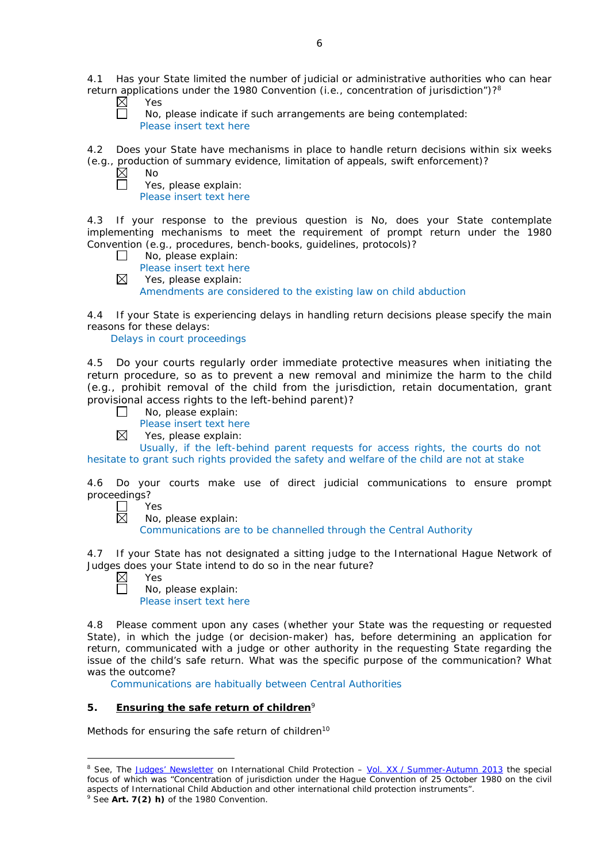4.1 Has your State limited the number of judicial or administrative authorities who can hear return applications under the 1980 Convention (*i.e.*, concentration of jurisdiction")?8 D

| ⋉ | es  |
|---|-----|
|   | No. |

No, please indicate if such arrangements are being contemplated: Please insert text here

4.2 Does your State have mechanisms in place to handle return decisions within six weeks (*e.g.*, production of summary evidence, limitation of appeals, swift enforcement)?

| NΩ     |
|--------|
| c<br>ー |

Yes, please explain: Please insert text here

4.3 If your response to the previous question is No, does your State contemplate implementing mechanisms to meet the requirement of prompt return under the 1980 Convention (*e.g.*, procedures, bench-books, guidelines, protocols)?

- $\Box$ No, please explain:
- Please insert text here
- $\boxtimes$ Yes, please explain:

Amendments are considered to the existing law on child abduction

4.4 If your State is experiencing delays in handling return decisions please specify the main reasons for these delays:

Delays in court proceedings

4.5 Do your courts regularly order immediate protective measures when initiating the return procedure, so as to prevent a new removal and minimize the harm to the child (*e.g.*, prohibit removal of the child from the jurisdiction, retain documentation, grant provisional access rights to the left-behind parent)?

- No, please explain:  $\Box$ 
	- Please insert text here
- $\boxtimes$ Yes, please explain:

Usually, if the left-behind parent requests for access rights, the courts do not hesitate to grant such rights provided the safety and welfare of the child are not at stake

4.6 Do your courts make use of direct judicial communications to ensure prompt proceedings?

- $\Box$ Yes  $\boxtimes$ 
	- No, please explain:

Communications are to be channelled through the Central Authority

4.7 If your State has not designated a sitting judge to the International Hague Network of Judges does your State intend to do so in the near future?

| Y<br>:S<br>↩ |
|--------------|
| חמו          |

-

No, please explain: Please insert text here

4.8 Please comment upon any cases (whether your State was the requesting or requested State), in which the judge (or decision-maker) has, before determining an application for return, communicated with a judge or other authority in the requesting State regarding the issue of the child's safe return. What was the specific purpose of the communication? What was the outcome?

Communications are habitually between Central Authorities

# **5. Ensuring the safe return of children**<sup>9</sup>

*Methods for ensuring the safe return of children*<sup>10</sup>

<sup>&</sup>lt;sup>8</sup> See, *The [Judges' Newsletter](https://www.hcch.net/en/instruments/conventions/publications2/judges-newsletter)* on International Child Protection – Vol. XX / [Summer-Autumn 2013](https://assets.hcch.net/upload/newsletter/nl2013tome20en.pdf) the special focus of which was "Concentration of jurisdiction under the *Hague Convention of 25 October 1980 on the civil aspects of International Child Abduction* and other international child protection instruments".

<sup>9</sup> See **Art. 7(2)** *h)* of the 1980 Convention.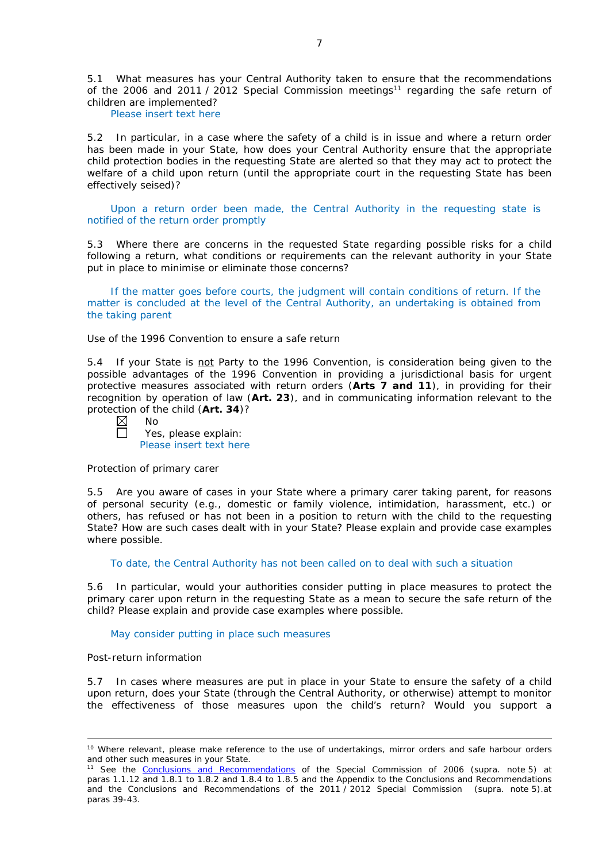5.1 What measures has your Central Authority taken to ensure that the recommendations of the 2006 and 2011 / 2012 Special Commission meetings<sup>11</sup> regarding the safe return of children are implemented?

Please insert text here

5.2 In particular, in a case where the safety of a child is in issue and where a return order has been made in your State, how does your Central Authority ensure that the appropriate child protection bodies in the *requesting* State are alerted so that they may act to protect the welfare of a child upon return (until the appropriate court in the requesting State has been effectively seised)?

Upon a return order been made, the Central Authority in the requesting state is notified of the return order promptly

5.3 Where there are concerns in the requested State regarding possible risks for a child following a return, what conditions or requirements can the relevant authority in your State put in place to minimise or eliminate those concerns?

If the matter goes before courts, the judgment will contain conditions of return. If the matter is concluded at the level of the Central Authority, an undertaking is obtained from the taking parent

*Use of the 1996 Convention to ensure a safe return*

5.4 If your State is not Party to the 1996 Convention, is consideration being given to the possible advantages of the 1996 Convention in providing a jurisdictional basis for urgent protective measures associated with return orders (**Arts 7 and 11**), in providing for their recognition by operation of law (**Art. 23**), and in communicating information relevant to the protection of the child (**Art. 34**)?

| $\boxtimes$ | – No                   |
|-------------|------------------------|
| $\Box$      | Yes, please explain:   |
|             | Dlogge incort tout hor |

Please insert text here

## *Protection of primary carer*

5.5 Are you aware of cases in your State where a primary carer taking parent, for reasons of personal security (*e.g.*, domestic or family violence, intimidation, harassment, etc.) or others, has refused or has not been in a position to return with the child to the requesting State? How are such cases dealt with in your State? Please explain and provide case examples where possible.

To date, the Central Authority has not been called on to deal with such a situation

5.6 In particular, would your authorities consider putting in place measures to protect the primary carer upon return in the requesting State as a mean to secure the safe return of the child? Please explain and provide case examples where possible.

May consider putting in place such measures

#### *Post-return information*

-

5.7 In cases where measures are put in place in your State to ensure the safety of a child upon return, does your State (through the Central Authority, or otherwise) attempt to monitor the effectiveness of those measures upon the child's return? Would you support a

<sup>&</sup>lt;sup>10</sup> Where relevant, please make reference to the use of undertakings, mirror orders and safe harbour orders and other such measures in your State.

<sup>11</sup> See the [Conclusions and Recommendations](https://assets.hcch.net/upload/concl28sc5_e.pdf) of the Special Commission of 2006 (*supra.* note 5) at paras 1.1.12 and 1.8.1 to 1.8.2 and 1.8.4 to 1.8.5 and the Appendix to the Conclusions and Recommendations and the [Conclusions and Recommendations of the 2011](https://assets.hcch.net/upload/wop/concl28sc6_e.pdf) / 2012 Special Commission (*supra.* note 5).at paras 39-43.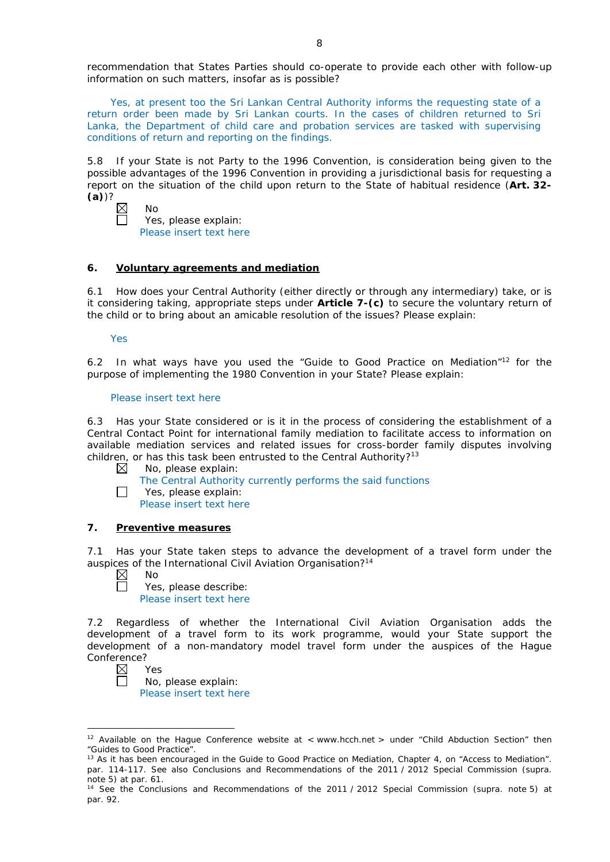recommendation that States Parties should co-operate to provide each other with follow-up information on such matters, insofar as is possible?

Yes, at present too the Sri Lankan Central Authority informs the requesting state of a return order been made by Sri Lankan courts. In the cases of children returned to Sri Lanka, the Department of child care and probation services are tasked with supervising conditions of return and reporting on the findings.

5.8 If your State is not Party to the 1996 Convention, is consideration being given to the possible advantages of the 1996 Convention in providing a jurisdictional basis for requesting a report on the situation of the child upon return to the State of habitual residence (**Art. 32- (a)**)?

No

Yes, please explain: Please insert text here

# **6. Voluntary agreements and mediation**

6.1 How does your Central Authority (either directly or through any intermediary) take, or is it considering taking, appropriate steps under **Article 7-(c)** to secure the voluntary return of the child or to bring about an amicable resolution of the issues? Please explain:

#### Yes

6.2 In what ways have you used the "Guide to Good Practice on Mediation"12 for the purpose of implementing the 1980 Convention in your State? Please explain:

## Please insert text here

6.3 Has your State considered or is it in the process of considering the establishment of a Central Contact Point for international family mediation to facilitate access to information on available mediation services and related issues for cross-border family disputes involving children, or has this task been entrusted to the Central Authority?<sup>13</sup>

- $\boxtimes$ No, please explain:
	- The Central Authority currently performs the said functions
- $\Box$ Yes, please explain:
	- Please insert text here

# **7. Preventive measures**

7.1 Has your State taken steps to advance the development of a travel form under the auspices of the International Civil Aviation Organisation?<sup>14</sup>

 $\boxtimes$ No  $\Box$ 

Yes, please describe: Please insert text here

7.2 Regardless of whether the International Civil Aviation Organisation adds the development of a travel form to its work programme, would your State support the development of a non-mandatory model travel form under the auspices of the Hague Conference?

 $\boxtimes$ Yes  $\Box$ 

<u>.</u>

No, please explain: Please insert text here

<sup>&</sup>lt;sup>12</sup> Available on the Hague Conference website at < www.hcch.net > under "Child Abduction Section" then "Guides to Good Practice".

<sup>&</sup>lt;sup>13</sup> As it has been encouraged in the Guide to Good Practice on Mediation, Chapter 4, on "Access to Mediation". par. 114-117. See also [Conclusions and Recommendations of the 2011](https://assets.hcch.net/upload/wop/concl28sc6_e.pdf) / 2012 Special Commission (*supra.* note 5) at par. 61.

<sup>14</sup> See the [Conclusions and Recommendations of the 2011](https://assets.hcch.net/upload/wop/concl28sc6_e.pdf) / 2012 Special Commission (*supra.* note 5) at par. 92.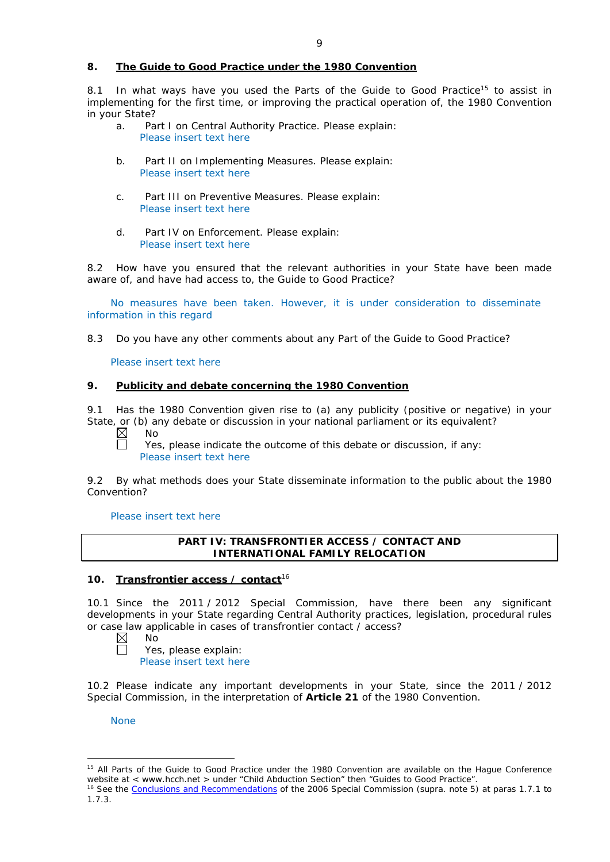# **8. The Guide to Good Practice under the 1980 Convention**

8.1 In what ways have you used the Parts of the Guide to Good Practice<sup>15</sup> to assist in implementing for the first time, or improving the practical operation of, the 1980 Convention in your State?

- a. Part I on Central Authority Practice. Please explain: Please insert text here
- b. Part II on Implementing Measures. Please explain: Please insert text here
- c. Part III on Preventive Measures. Please explain: Please insert text here
- d. Part IV on Enforcement. Please explain: Please insert text here

8.2 How have you ensured that the relevant authorities in your State have been made aware of, and have had access to, the Guide to Good Practice?

No measures have been taken. However, it is under consideration to disseminate information in this regard

8.3 Do you have any other comments about any Part of the Guide to Good Practice?

Please insert text here

# **9. Publicity and debate concerning the 1980 Convention**

9.1 Has the 1980 Convention given rise to (a) any publicity (positive or negative) in your State, or (b) any debate or discussion in your national parliament or its equivalent?

 $\boxtimes$ No

 $\Box$ 

Yes, please indicate the outcome of this debate or discussion, if any: Please insert text here

9.2 By what methods does your State disseminate information to the public about the 1980 Convention?

Please insert text here

# **PART IV: TRANSFRONTIER ACCESS / CONTACT AND INTERNATIONAL FAMILY RELOCATION**

# **10. Transfrontier access / contact**<sup>16</sup>

10.1 Since the 2011 / 2012 Special Commission, have there been any significant developments in your State regarding Central Authority practices, legislation, procedural rules or case law applicable in cases of transfrontier contact / access?

 $\boxtimes$ No  $\Box$ 

Yes, please explain:

Please insert text here

10.2 Please indicate any important developments in your State, since the 2011 / 2012 Special Commission, in the interpretation of **Article 21** of the 1980 Convention.

None

-

<sup>&</sup>lt;sup>15</sup> All Parts of the Guide to Good Practice under the 1980 Convention are available on the Haque Conference website at < www.hcch.net > under "Child Abduction Section" then "Guides to Good Practice".

<sup>16</sup> See the [Conclusions and Recommendations](https://assets.hcch.net/upload/concl28sc5_e.pdf) of the 2006 Special Commission (*supra.* note 5) at paras 1.7.1 to 1.7.3.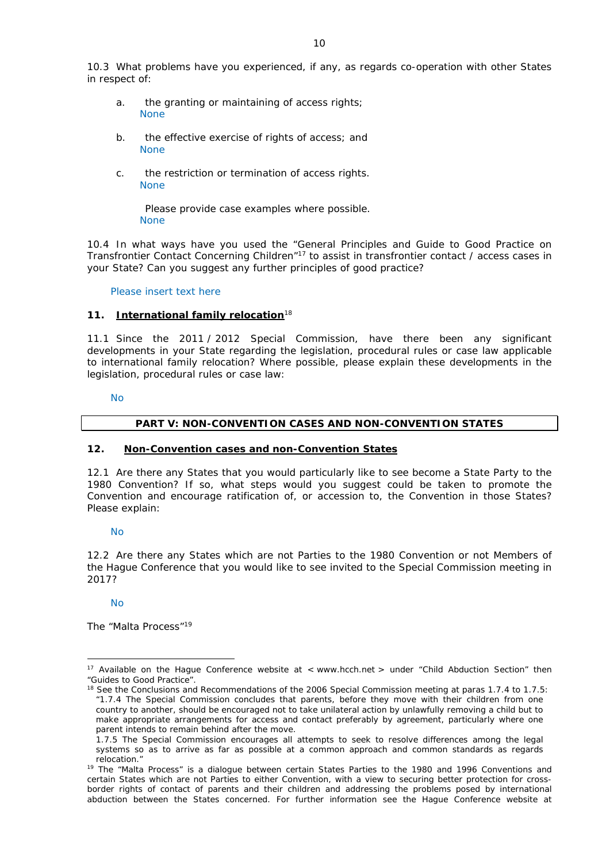- a. the granting or maintaining of access rights; None
- b. the effective exercise of rights of access; and None
- c. the restriction or termination of access rights. None

Please provide case examples where possible. None

10.4 In what ways have you used the "General Principles and Guide to Good Practice on Transfrontier Contact Concerning Children"17 to assist in transfrontier contact / access cases in your State? Can you suggest any further principles of good practice?

# Please insert text here

# **11. International family relocation**<sup>18</sup>

11.1 Since the 2011 / 2012 Special Commission, have there been any significant developments in your State regarding the legislation, procedural rules or case law applicable to international family relocation? Where possible, please explain these developments in the legislation, procedural rules or case law:

No

# **PART V: NON-CONVENTION CASES AND NON-CONVENTION STATES**

# **12. Non-Convention cases and non-Convention States**

12.1 Are there any States that you would particularly like to see become a State Party to the 1980 Convention? If so, what steps would you suggest could be taken to promote the Convention and encourage ratification of, or accession to, the Convention in those States? Please explain:

No

12.2 Are there any States which are not Parties to the 1980 Convention or not Members of the Hague Conference that you would like to see invited to the Special Commission meeting in 2017?

# No

<u>.</u>

*The "Malta Process"*<sup>19</sup>

<sup>&</sup>lt;sup>17</sup> Available on the Hague Conference website at < www.hcch.net > under "Child Abduction Section" then "Guides to Good Practice".

<sup>&</sup>lt;sup>18</sup> See the Conclusions and Recommendations of the 2006 Special Commission meeting at paras 1.7.4 to 1.7.5: *"*1.7.4 The Special Commission concludes that parents, before they move with their children from one country to another, should be encouraged not to take unilateral action by unlawfully removing a child but to make appropriate arrangements for access and contact preferably by agreement, particularly where one parent intends to remain behind after the move.

<sup>1.7.5</sup> The Special Commission encourages all attempts to seek to resolve differences among the legal systems so as to arrive as far as possible at a common approach and common standards as regards relocation."

<sup>&</sup>lt;sup>19</sup> The "Malta Process" is a dialogue between certain States Parties to the 1980 and 1996 Conventions and certain States which are not Parties to either Convention, with a view to securing better protection for crossborder rights of contact of parents and their children and addressing the problems posed by international abduction between the States concerned. For further information see the Hague Conference website at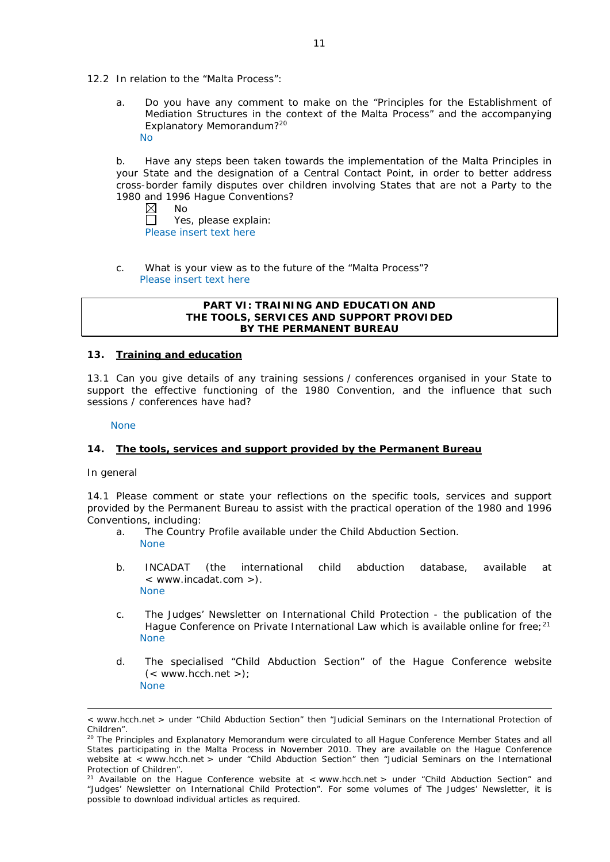- 12.2 In relation to the "Malta Process":
	- a. Do you have any comment to make on the "Principles for the Establishment of Mediation Structures in the context of the Malta Process" and the accompanying Explanatory Memorandum?20 No

b. Have any steps been taken towards the implementation of the Malta Principles in your State and the designation of a Central Contact Point, in order to better address cross-border family disputes over children involving States that are not a Party to the 1980 and 1996 Hague Conventions?<br>  $\boxtimes$  No

No  $\Box$ Yes, please explain: Please insert text here

c. What is your view as to the future of the "Malta Process"? Please insert text here

#### **PART VI: TRAINING AND EDUCATION AND THE TOOLS, SERVICES AND SUPPORT PROVIDED BY THE PERMANENT BUREAU**

### **13. Training and education**

13.1 Can you give details of any training sessions / conferences organised in your State to support the effective functioning of the 1980 Convention, and the influence that such sessions / conferences have had?

None

# **14. The tools, services and support provided by the Permanent Bureau**

*In general*

<u>.</u>

14.1 Please comment or state your reflections on the specific tools, services and support provided by the Permanent Bureau to assist with the practical operation of the 1980 and 1996 Conventions, including:

- a. The Country Profile available under the Child Abduction Section. None
- b. INCADAT (the international child abduction database, available at < www.incadat.com >). None
- c. *The Judges' Newsletter* on International Child Protection the publication of the Hague Conference on Private International Law which is available online for free;<sup>21</sup> None
- d. The specialised "Child Abduction Section" of the Hague Conference website  $(<$  www.hcch.net >); None

<sup>&</sup>lt; www.hcch.net > under "Child Abduction Section" then "Judicial Seminars on the International Protection of Children".

<sup>&</sup>lt;sup>20</sup> The Principles and Explanatory Memorandum were circulated to all Hague Conference Member States and all States participating in the Malta Process in November 2010. They are available on the Hague Conference website at < www.hcch.net > under "Child Abduction Section" then "Judicial Seminars on the International Protection of Children".

<sup>&</sup>lt;sup>21</sup> Available on the Hague Conference website at < www.hcch.net > under "Child Abduction Section" and "Judges' Newsletter on International Child Protection". For some volumes of *The Judges' Newsletter*, it is possible to download individual articles as required.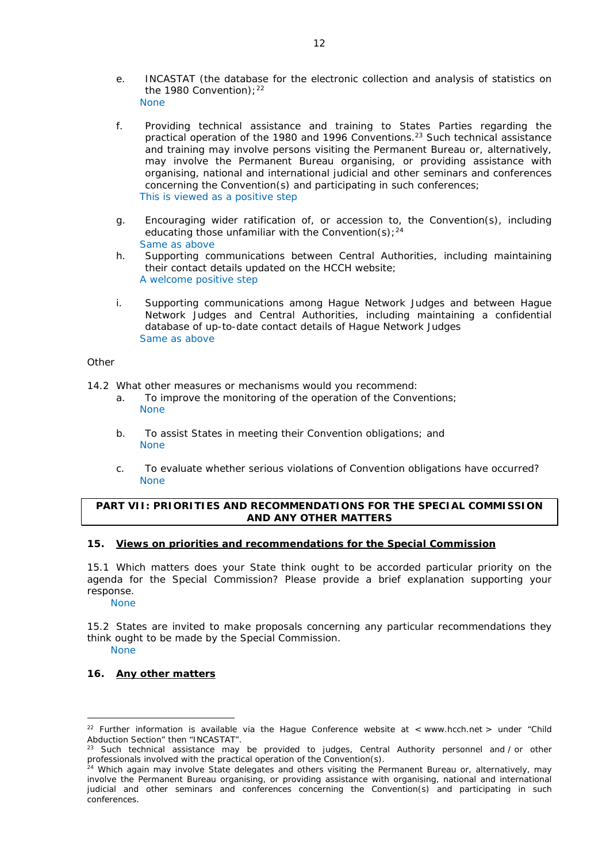- e. INCASTAT (the database for the electronic collection and analysis of statistics on the 1980 Convention):  $22$ None
- f. Providing technical assistance and training to States Parties regarding the practical operation of the 1980 and 1996 Conventions.<sup>23</sup> Such technical assistance and training may involve persons visiting the Permanent Bureau or, alternatively, may involve the Permanent Bureau organising, or providing assistance with organising, national and international judicial and other seminars and conferences concerning the Convention(s) and participating in such conferences; This is viewed as a positive step
- g. Encouraging wider ratification of, or accession to, the Convention(s), including educating those unfamiliar with the Convention(s);  $24$ Same as above
- h. Supporting communications between Central Authorities, including maintaining their contact details updated on the HCCH website; A welcome positive step
- i. Supporting communications among Hague Network Judges and between Hague Network Judges and Central Authorities, including maintaining a confidential database of up-to-date contact details of Hague Network Judges Same as above

#### *Other*

14.2 What other measures or mechanisms would you recommend:

- a. To improve the monitoring of the operation of the Conventions; None
- b. To assist States in meeting their Convention obligations; and None
- c. To evaluate whether serious violations of Convention obligations have occurred? None

# **PART VII: PRIORITIES AND RECOMMENDATIONS FOR THE SPECIAL COMMISSION AND ANY OTHER MATTERS**

# **15. Views on priorities and recommendations for the Special Commission**

15.1 Which matters does your State think ought to be accorded particular priority on the agenda for the Special Commission? Please provide a brief explanation supporting your response.

None

15.2 States are invited to make proposals concerning any particular recommendations they think ought to be made by the Special Commission. None

# **16. Any other matters**

<sup>&</sup>lt;u>.</u> <sup>22</sup> Further information is available via the Hague Conference website at < www.hcch.net > under "Child Abduction Section" then "INCASTAT".

<sup>&</sup>lt;sup>23</sup> Such technical assistance may be provided to judges, Central Authority personnel and  $/$  or other professionals involved with the practical operation of the Convention(s).

<sup>&</sup>lt;sup>24</sup> Which again may involve State delegates and others visiting the Permanent Bureau or, alternatively, may involve the Permanent Bureau organising, or providing assistance with organising, national and international judicial and other seminars and conferences concerning the Convention(s) and participating in such conferences.